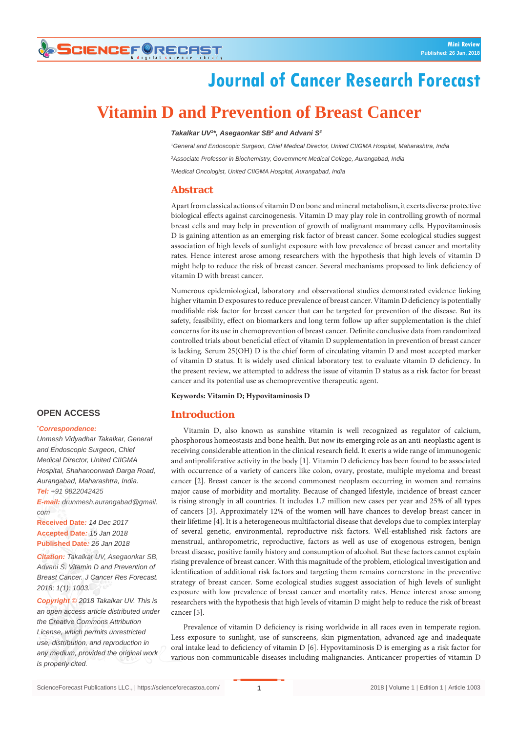# **SCIENCEFORECAST**

# **Journal of Cancer Research Forecast**

# **Vitamin D and Prevention of Breast Cancer**

### *Takalkar UV1 \*, Asegaonkar SB2 and Advani S3*

*1 General and Endoscopic Surgeon, Chief Medical Director, United CIIGMA Hospital, Maharashtra, India 2 Associate Professor in Biochemistry, Government Medical College, Aurangabad, India 3 Medical Oncologist, United CIIGMA Hospital, Aurangabad, India*

## **Abstract**

Apart from classical actions of vitamin D on bone and mineral metabolism, it exerts diverse protective biological effects against carcinogenesis. Vitamin D may play role in controlling growth of normal breast cells and may help in prevention of growth of malignant mammary cells. Hypovitaminosis D is gaining attention as an emerging risk factor of breast cancer. Some ecological studies suggest association of high levels of sunlight exposure with low prevalence of breast cancer and mortality rates. Hence interest arose among researchers with the hypothesis that high levels of vitamin D might help to reduce the risk of breast cancer. Several mechanisms proposed to link deficiency of vitamin D with breast cancer.

Numerous epidemiological, laboratory and observational studies demonstrated evidence linking higher vitamin D exposures to reduce prevalence of breast cancer. Vitamin D deficiency is potentially modifiable risk factor for breast cancer that can be targeted for prevention of the disease. But its safety, feasibility, effect on biomarkers and long term follow up after supplementation is the chief concerns for its use in chemoprevention of breast cancer. Definite conclusive data from randomized controlled trials about beneficial effect of vitamin D supplementation in prevention of breast cancer is lacking. Serum 25(OH) D is the chief form of circulating vitamin D and most accepted marker of vitamin D status. It is widely used clinical laboratory test to evaluate vitamin D deficiency. In the present review, we attempted to address the issue of vitamin D status as a risk factor for breast cancer and its potential use as chemopreventive therapeutic agent.

**Keywords: Vitamin D; Hypovitaminosis D**

## **Introduction**

## Vitamin D, also known as sunshine vitamin is well recognized as regulator of calcium, phosphorous homeostasis and bone health. But now its emerging role as an anti-neoplastic agent is receiving considerable attention in the clinical research field. It exerts a wide range of immunogenic and antiproliferative activity in the body [1]. Vitamin D deficiency has been found to be associated with occurrence of a variety of cancers like colon, ovary, prostate, multiple myeloma and breast cancer [2]. Breast cancer is the second commonest neoplasm occurring in women and remains major cause of morbidity and mortality. Because of changed lifestyle, incidence of breast cancer is rising strongly in all countries. It includes 1.7 million new cases per year and 25% of all types of cancers [3]. Approximately 12% of the women will have chances to develop breast cancer in their lifetime [4]. It is a heterogeneous multifactorial disease that develops due to complex interplay of several genetic, environmental, reproductive risk factors. Well-established risk factors are menstrual, anthropometric, reproductive, factors as well as use of exogenous estrogen, benign breast disease, positive family history and consumption of alcohol. But these factors cannot explain rising prevalence of breast cancer. With this magnitude of the problem, etiological investigation and identification of additional risk factors and targeting them remains cornerstone in the preventive strategy of breast cancer. Some ecological studies suggest association of high levels of sunlight exposure with low prevalence of breast cancer and mortality rates. Hence interest arose among researchers with the hypothesis that high levels of vitamin D might help to reduce the risk of breast cancer [5].

Prevalence of vitamin D deficiency is rising worldwide in all races even in temperate region. Less exposure to sunlight, use of sunscreens, skin pigmentation, advanced age and inadequate oral intake lead to deficiency of vitamin D [6]. Hypovitaminosis D is emerging as a risk factor for various non-communicable diseases including malignancies. Anticancer properties of vitamin D

# **OPEN ACCESS**

#### **\*** *Correspondence:*

*Unmesh Vidyadhar Takalkar, General and Endoscopic Surgeon, Chief Medical Director, United CIIGMA Hospital, Shahanoorwadi Darga Road, Aurangabad, Maharashtra, India. Tel: +91 9822042425 E-mail: drunmesh.aurangabad@gmail. com* **Received Date***: 14 Dec 2017*

**Accepted Date***: 15 Jan 2018* **Published Date***: 26 Jan 2018*

*Citation: Takalkar UV, Asegaonkar SB, Advani S. Vitamin D and Prevention of Breast Cancer. J Cancer Res Forecast. 2018; 1(1): 1003.*

*Copyright © 2018 Takalkar UV. This is an open access article distributed under the Creative Commons Attribution License, which permits unrestricted use, distribution, and reproduction in any medium, provided the original work is properly cited.*

**1**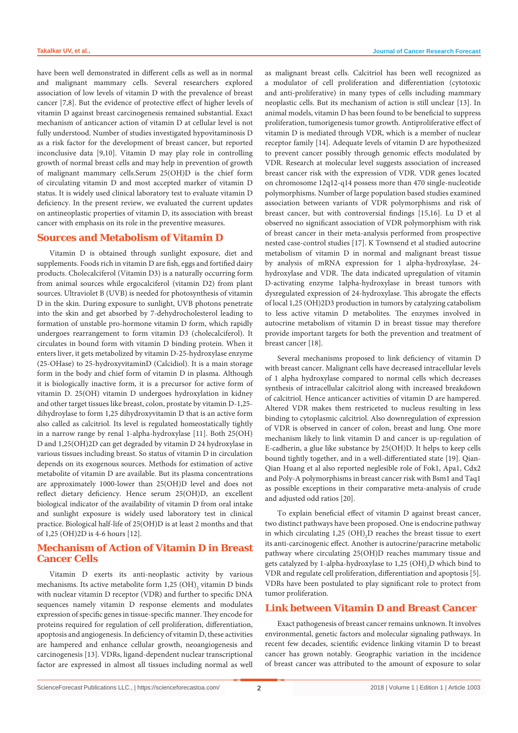have been well demonstrated in different cells as well as in normal and malignant mammary cells. Several researchers explored association of low levels of vitamin D with the prevalence of breast cancer [7,8]. But the evidence of protective effect of higher levels of vitamin D against breast carcinogenesis remained substantial. Exact mechanism of anticancer action of vitamin D at cellular level is not fully understood. Number of studies investigated hypovitaminosis D as a risk factor for the development of breast cancer, but reported inconclusive data [9,10]. Vitamin D may play role in controlling growth of normal breast cells and may help in prevention of growth of malignant mammary cells.Serum 25(OH)D is the chief form of circulating vitamin D and most accepted marker of vitamin D status. It is widely used clinical laboratory test to evaluate vitamin D deficiency. In the present review, we evaluated the current updates on antineoplastic properties of vitamin D, its association with breast cancer with emphasis on its role in the preventive measures.

## **Sources and Metabolism of Vitamin D**

Vitamin D is obtained through sunlight exposure, diet and supplements. Foods rich in vitamin D are fish, eggs and fortified dairy products. Cholecalciferol (Vitamin D3) is a naturally occurring form from animal sources while ergocalciferol (vitamin D2) from plant sources. Ultraviolet B (UVB) is needed for photosynthesis of vitamin D in the skin. During exposure to sunlight, UVB photons penetrate into the skin and get absorbed by 7-dehydrocholesterol leading to formation of unstable pro-hormone vitamin D form, which rapidly undergoes rearrangement to form vitamin D3 (cholecalciferol). It circulates in bound form with vitamin D binding protein. When it enters liver, it gets metabolized by vitamin D-25-hydroxylase enzyme (25-OHase) to 25-hydroxyvitaminD (Calcidiol). It is a main storage form in the body and chief form of vitamin D in plasma. Although it is biologically inactive form, it is a precursor for active form of vitamin D. 25(OH) vitamin D undergoes hydroxylation in kidney and other target tissues like breast, colon, prostate by vitamin D-1,25 dihydroylase to form 1,25 dihydroxyvitamin D that is an active form also called as calcitriol. Its level is regulated homeostatically tightly in a narrow range by renal 1-alpha-hydroxylase [11]. Both 25(OH) D and 1,25(OH)2D can get degraded by vitamin D 24 hydroxylase in various tissues including breast. So status of vitamin D in circulation depends on its exogenous sources. Methods for estimation of active metabolite of vitamin D are available. But its plasma concentrations are approximately 1000-lower than 25(OH)D level and does not reflect dietary deficiency. Hence serum 25(OH)D, an excellent biological indicator of the availability of vitamin D from oral intake and sunlight exposure is widely used laboratory test in clinical practice. Biological half-life of 25(OH)D is at least 2 months and that of 1,25 (OH)2D is 4-6 hours [12].

# **Mechanism of Action of Vitamin D in Breast Cancer Cells**

Vitamin D exerts its anti-neoplastic activity by various mechanisms. Its active metabolite form  $1,25 \text{ (OH)}_{2}$  vitamin D binds with nuclear vitamin D receptor (VDR) and further to specific DNA sequences namely vitamin D response elements and modulates expression of specific genes in tissue-specific manner. They encode for proteins required for regulation of cell proliferation, differentiation, apoptosis and angiogenesis. In deficiency of vitamin D, these activities are hampered and enhance cellular growth, neoangiogenesis and carcinogenesis [13]. VDRs, ligand-dependent nuclear transcriptional factor are expressed in almost all tissues including normal as well

as malignant breast cells. Calcitriol has been well recognized as a modulator of cell proliferation and differentiation (cytotoxic and anti-proliferative) in many types of cells including mammary neoplastic cells. But its mechanism of action is still unclear [13]. In animal models, vitamin D has been found to be beneficial to suppress proliferation, tumorigenesis tumor growth. Antiproliferative effect of vitamin D is mediated through VDR, which is a member of nuclear receptor family [14]. Adequate levels of vitamin D are hypothesized to prevent cancer possibly through genomic effects modulated by VDR. Research at molecular level suggests association of increased breast cancer risk with the expression of VDR. VDR genes located on chromosome 12q12-q14 possess more than 470 single-nucleotide polymorphisms. Number of large population based studies examined association between variants of VDR polymorphisms and risk of breast cancer, but with controversial findings [15,16]. Lu D et al observed no significant association of VDR polymorphism with risk of breast cancer in their meta-analysis performed from prospective nested case-control studies [17]. K Townsend et al studied autocrine metabolism of vitamin D in normal and malignant breast tissue by analysis of mRNA expression for 1 alpha-hydroxylase, 24 hydroxylase and VDR. The data indicated upregulation of vitamin D-activating enzyme 1alpha-hydroxylase in breast tumors with dysregulated expression of 24-hydroxylase. This abrogate the effects of local 1,25 (OH)2D3 production in tumors by catalyzing catabolism to less active vitamin D metabolites. The enzymes involved in autocrine metabolism of vitamin D in breast tissue may therefore provide important targets for both the prevention and treatment of breast cancer [18].

Several mechanisms proposed to link deficiency of vitamin D with breast cancer. Malignant cells have decreased intracellular levels of 1 alpha hydroxylase compared to normal cells which decreases synthesis of intracellular calcitriol along with increased breakdown of calcitriol. Hence anticancer activities of vitamin D are hampered. Altered VDR makes them restriceted to nucleus resulting in less binding to cytoplasmic calcitriol. Also downregulation of expression of VDR is observed in cancer of colon, breast and lung. One more mechanism likely to link vitamin D and cancer is up-regulation of E-cadherin, a glue like substance by 25(OH)D. It helps to keep cells bound tightly together, and in a well-differentiated state [19]. Qian-Qian Huang et al also reported neglesible role of Fok1, Apa1, Cdx2 and Poly-A polymorphisms in breast cancer risk with Bsm1 and Taq1 as possible exceptions in their comparative meta-analysis of crude and adjusted odd ratios [20].

To explain beneficial effect of vitamin D against breast cancer, two distinct pathways have been proposed. One is endocrine pathway in which circulating  $1,25 \text{ (OH)}_2\text{D}$  reaches the breast tissue to exert its anti-carcinogenic effect. Another is autocrine/paracrine metabolic pathway where circulating 25(OH)D reaches mammary tissue and gets catalyzed by 1-alpha-hydroxylase to  $1,25$  (OH)<sub>2</sub>D which bind to VDR and regulate cell proliferation, differentiation and apoptosis [5]. VDRs have been postulated to play significant role to protect from tumor proliferation.

### **Link between Vitamin D and Breast Cancer**

Exact pathogenesis of breast cancer remains unknown. It involves environmental, genetic factors and molecular signaling pathways. In recent few decades, scientific evidence linking vitamin D to breast cancer has grown notably. Geographic variation in the incidence of breast cancer was attributed to the amount of exposure to solar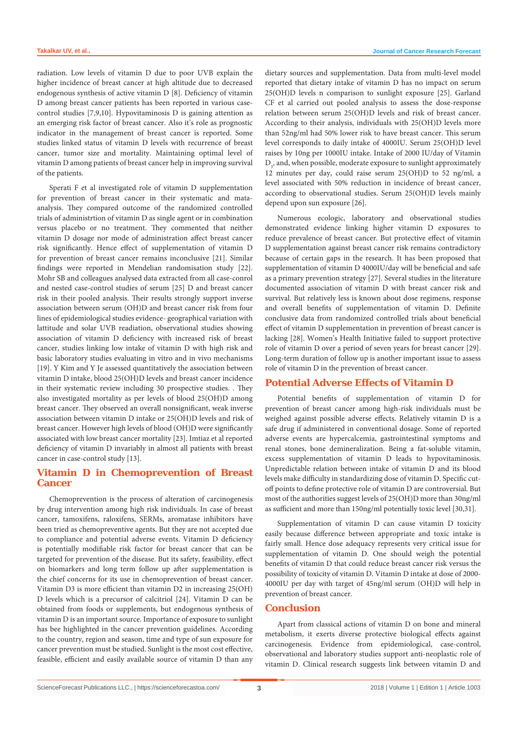radiation. Low levels of vitamin D due to poor UVB explain the higher incidence of breast cancer at high altitude due to decreased endogenous synthesis of active vitamin D [8]. Deficiency of vitamin D among breast cancer patients has been reported in various casecontrol studies [7,9,10]. Hypovitaminosis D is gaining attention as an emerging risk factor of breast cancer. Also it's role as prognostic indicator in the management of breast cancer is reported. Some studies linked status of vitamin D levels with recurrence of breast cancer, tumor size and mortality. Maintaining optimal level of vitamin D among patients of breast cancer help in improving survival of the patients.

Sperati F et al investigated role of vitamin D supplementation for prevention of breast cancer in their systematic and mataanalysis. They compared outcome of the randomized controlled trials of administrtion of vitamin D as single agent or in combination versus placebo or no treatment. They commented that neither vitamin D dosage nor mode of administration affect breast cancer risk significantly. Hence effect of supplementation of vitamin D for prevention of breast cancer remains inconclusive [21]. Similar findings were reported in Mendelian randomisation study [22]. Mohr SB and colleagues analysed data extracted from all case-conrol and nested case-control studies of serum [25] D and breast cancer risk in their pooled analysis. Their results strongly support inverse association between serum (OH)D and breast cancer risk from four lines of epidemiological studies evidence- geographical variation with lattitude and solar UVB readiation, observational studies showing association of vitamin D deficiency with increased risk of breast cancer, studies linking low intake of vitamin D with high risk and basic laboratory studies evaluating in vitro and in vivo mechanisms [19]. Y Kim and Y Je assessed quantitatively the association between vitamin D intake, blood 25(OH)D levels and breast cancer incidence in their systematic review including 30 prospective studies. . They also investigated mortality as per levels of blood 25(OH)D among breast cancer. They observed an overall nonsignificant, weak inverse association between vitamin D intake or 25(OH)D levels and risk of breast cancer. However high levels of blood (OH)D were significantly associated with low breast cancer mortality [23]. Imtiaz et al reported deficiency of vitamin D invariably in almost all patients with breast cancer in case-control study [13].

## **Vitamin D in Chemoprevention of Breast Cancer**

Chemoprevention is the process of alteration of carcinogenesis by drug intervention among high risk individuals. In case of breast cancer, tamoxifens, raloxifens, SERMs, aromatase inhibitors have been tried as chemopreventive agents. But they are not accepted due to compliance and potential adverse events. Vitamin D deficiency is potentially modifiable risk factor for breast cancer that can be targeted for prevention of the disease. But its safety, feasibility, effect on biomarkers and long term follow up after supplementation is the chief concerns for its use in chemoprevention of breast cancer. Vitamin D3 is more efficient than vitamin D2 in increasing 25(OH) D levels which is a precursor of calcitriol [24]. Vitamin D can be obtained from foods or supplements, but endogenous synthesis of vitamin D is an important source. Importance of exposure to sunlight has bee highlighted in the cancer prevention guidelines. According to the country, region and season, time and type of sun exposure for cancer prevention must be studied. Sunlight is the most cost effective, feasible, efficient and easily available source of vitamin D than any

dietary sources and supplementation. Data from multi-level model reported that dietary intake of vitamin D has no impact on serum 25(OH)D levels n comparison to sunlight exposure [25]. Garland CF et al carried out pooled analysis to assess the dose-response relation between serum 25(OH)D levels and risk of breast cancer. According to their analysis, individuals with 25(OH)D levels more than 52ng/ml had 50% lower risk to have breast cancer. This serum level corresponds to daily intake of 4000IU. Serum 25(OH)D level raises by 10ng per 1000IU intake. Intake of 2000 IU/day of Vitamin  $\mathrm{D}_{\mathfrak{z}},$  and, when possible, moderate exposure to sunlight approximately 12 minutes per day, could raise serum 25(OH)D to 52 ng/ml, a level associated with 50% reduction in incidence of breast cancer, according to observational studies. Serum 25(OH)D levels mainly depend upon sun exposure [26].

Numerous ecologic, laboratory and observational studies demonstrated evidence linking higher vitamin D exposures to reduce prevalence of breast cancer. But protective effect of vitamin D supplementation against breast cancer risk remains contradictory because of certain gaps in the research. It has been proposed that supplementation of vitamin D 4000IU/day will be beneficial and safe as a primary prevention strategy [27]. Several studies in the literature documented association of vitamin D with breast cancer risk and survival. But relatively less is known about dose regimens, response and overall benefits of supplementation of vitamin D. Definite conclusive data from randomized controlled trials about beneficial effect of vitamin D supplementation in prevention of breast cancer is lacking [28]. Women's Health Initiative failed to support protective role of vitamin D over a period of seven years for breast cancer [29]. Long-term duration of follow up is another important issue to assess role of vitamin D in the prevention of breast cancer.

## **Potential Adverse Effects of Vitamin D**

Potential benefits of supplementation of vitamin D for prevention of breast cancer among high-risk individuals must be weighed against possible adverse effects. Relatively vitamin D is a safe drug if administered in conventional dosage. Some of reported adverse events are hypercalcemia, gastrointestinal symptoms and renal stones, bone demineralization. Being a fat-soluble vitamin, excess supplementation of vitamin D leads to hypovitaminosis. Unpredictable relation between intake of vitamin D and its blood levels make difficulty in standardizing dose of vitamin D. Specific cutoff points to define protective role of vitamin D are controversial. But most of the authorities suggest levels of 25(OH)D more than 30ng/ml as sufficient and more than 150ng/ml potentially toxic level [30,31].

Supplementation of vitamin D can cause vitamin D toxicity easily because difference between appropriate and toxic intake is fairly small. Hence dose adequacy represents very critical issue for supplementation of vitamin D. One should weigh the potential benefits of vitamin D that could reduce breast cancer risk versus the possibility of toxicity of vitamin D. Vitamin D intake at dose of 2000- 4000IU per day with target of 45ng/ml serum (OH)D will help in prevention of breast cancer.

## **Conclusion**

Apart from classical actions of vitamin D on bone and mineral metabolism, it exerts diverse protective biological effects against carcinogenesis. Evidence from epidemiological, case-control, observational and laboratory studies support anti-neoplastic role of vitamin D. Clinical research suggests link between vitamin D and